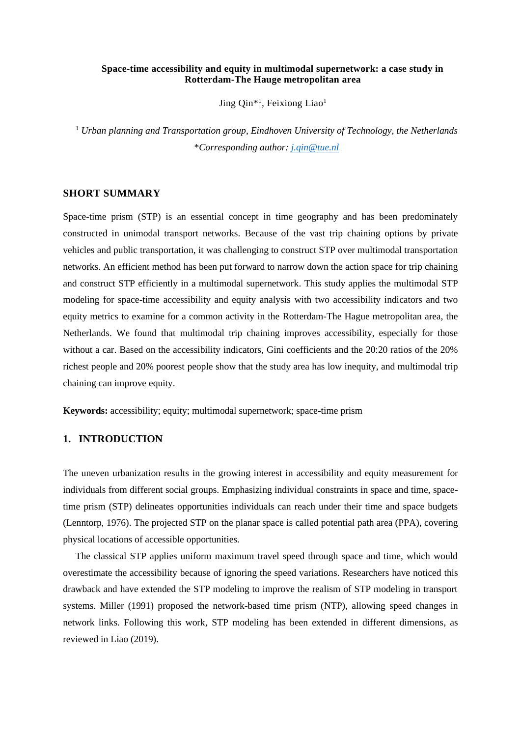#### **Space-time accessibility and equity in multimodal supernetwork: a case study in Rotterdam-The Hauge metropolitan area**

Jing Qin<sup>\*1</sup>, Feixiong Liao<sup>1</sup>

<sup>1</sup> *Urban planning and Transportation group, Eindhoven University of Technology, the Netherlands* \**Corresponding author: [j.qin@tue.nl](mailto:j.qin@tue.nl)*

#### **SHORT SUMMARY**

Space-time prism (STP) is an essential concept in time geography and has been predominately constructed in unimodal transport networks. Because of the vast trip chaining options by private vehicles and public transportation, it was challenging to construct STP over multimodal transportation networks. An efficient method has been put forward to narrow down the action space for trip chaining and construct STP efficiently in a multimodal supernetwork. This study applies the multimodal STP modeling for space-time accessibility and equity analysis with two accessibility indicators and two equity metrics to examine for a common activity in the Rotterdam-The Hague metropolitan area, the Netherlands. We found that multimodal trip chaining improves accessibility, especially for those without a car. Based on the accessibility indicators, Gini coefficients and the 20:20 ratios of the 20% richest people and 20% poorest people show that the study area has low inequity, and multimodal trip chaining can improve equity.

**Keywords:** accessibility; equity; multimodal supernetwork; space-time prism

# **1. INTRODUCTION**

The uneven urbanization results in the growing interest in accessibility and equity measurement for individuals from different social groups. Emphasizing individual constraints in space and time, spacetime prism (STP) delineates opportunities individuals can reach under their time and space budgets (Lenntorp, 1976). The projected STP on the planar space is called potential path area (PPA), covering physical locations of accessible opportunities.

The classical STP applies uniform maximum travel speed through space and time, which would overestimate the accessibility because of ignoring the speed variations. Researchers have noticed this drawback and have extended the STP modeling to improve the realism of STP modeling in transport systems. Miller (1991) proposed the network-based time prism (NTP), allowing speed changes in network links. Following this work, STP modeling has been extended in different dimensions, as reviewed in Liao (2019).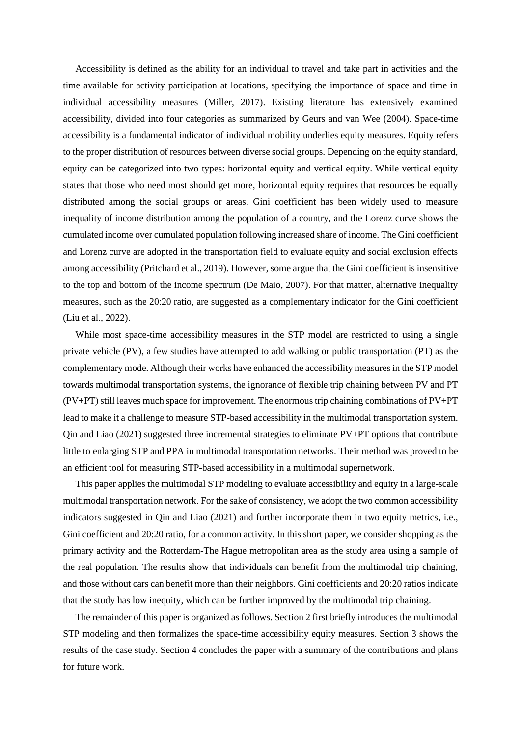Accessibility is defined as the ability for an individual to travel and take part in activities and the time available for activity participation at locations, specifying the importance of space and time in individual accessibility measures (Miller, 2017). Existing literature has extensively examined accessibility, divided into four categories as summarized by Geurs and van Wee (2004). Space-time accessibility is a fundamental indicator of individual mobility underlies equity measures. Equity refers to the proper distribution of resources between diverse social groups. Depending on the equity standard, equity can be categorized into two types: horizontal equity and vertical equity. While vertical equity states that those who need most should get more, horizontal equity requires that resources be equally distributed among the social groups or areas. Gini coefficient has been widely used to measure inequality of income distribution among the population of a country, and the Lorenz curve shows the cumulated income over cumulated population following increased share of income. The Gini coefficient and Lorenz curve are adopted in the transportation field to evaluate equity and social exclusion effects among accessibility (Pritchard et al., 2019). However, some argue that the Gini coefficient is insensitive to the top and bottom of the income spectrum (De Maio, 2007). For that matter, alternative inequality measures, such as the 20:20 ratio, are suggested as a complementary indicator for the Gini coefficient (Liu et al., 2022).

While most space-time accessibility measures in the STP model are restricted to using a single private vehicle (PV), a few studies have attempted to add walking or public transportation (PT) as the complementary mode. Although their works have enhanced the accessibility measures in the STP model towards multimodal transportation systems, the ignorance of flexible trip chaining between PV and PT (PV+PT) still leaves much space for improvement. The enormous trip chaining combinations of PV+PT lead to make it a challenge to measure STP-based accessibility in the multimodal transportation system. Qin and Liao (2021) suggested three incremental strategies to eliminate PV+PT options that contribute little to enlarging STP and PPA in multimodal transportation networks. Their method was proved to be an efficient tool for measuring STP-based accessibility in a multimodal supernetwork.

This paper applies the multimodal STP modeling to evaluate accessibility and equity in a large-scale multimodal transportation network. For the sake of consistency, we adopt the two common accessibility indicators suggested in Qin and Liao (2021) and further incorporate them in two equity metrics, i.e., Gini coefficient and 20:20 ratio, for a common activity. In this short paper, we consider shopping as the primary activity and the Rotterdam-The Hague metropolitan area as the study area using a sample of the real population. The results show that individuals can benefit from the multimodal trip chaining, and those without cars can benefit more than their neighbors. Gini coefficients and 20:20 ratios indicate that the study has low inequity, which can be further improved by the multimodal trip chaining.

The remainder of this paper is organized as follows. Section 2 first briefly introduces the multimodal STP modeling and then formalizes the space-time accessibility equity measures. Section 3 shows the results of the case study. Section 4 concludes the paper with a summary of the contributions and plans for future work.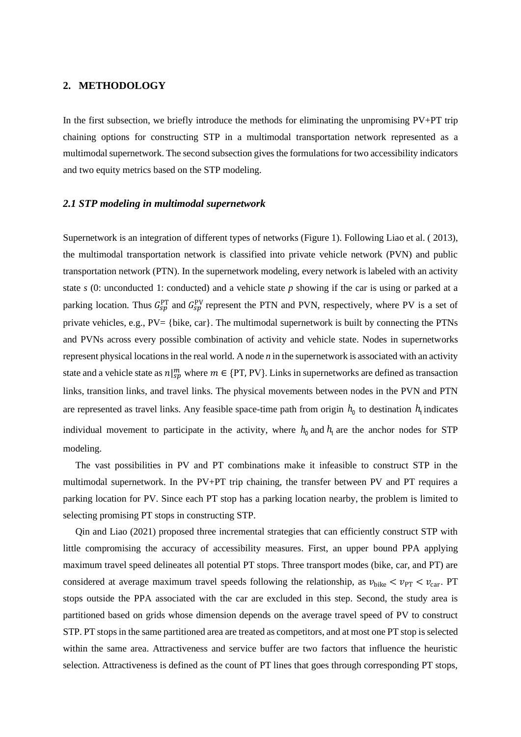### **2. METHODOLOGY**

In the first subsection, we briefly introduce the methods for eliminating the unpromising PV+PT trip chaining options for constructing STP in a multimodal transportation network represented as a multimodal supernetwork. The second subsection gives the formulations for two accessibility indicators and two equity metrics based on the STP modeling.

#### *2.1 STP modeling in multimodal supernetwork*

Supernetwork is an integration of different types of networks (Figure 1). Following Liao et al. ( 2013), the multimodal transportation network is classified into private vehicle network (PVN) and public transportation network (PTN). In the supernetwork modeling, every network is labeled with an activity state *s* (0: unconducted 1: conducted) and a vehicle state *p* showing if the car is using or parked at a parking location. Thus  $G_{sp}^{PT}$  and  $G_{sp}^{PV}$  represent the PTN and PVN, respectively, where PV is a set of private vehicles, e.g., PV= {bike, car}. The multimodal supernetwork is built by connecting the PTNs and PVNs across every possible combination of activity and vehicle state. Nodes in supernetworks represent physical locations in the real world. A node *n* in the supernetwork is associated with an activity state and a vehicle state as  $n|_{sp}^m$  where  $m \in \{PT, PV\}$ . Links in supernetworks are defined as transaction links, transition links, and travel links. The physical movements between nodes in the PVN and PTN are represented as travel links. Any feasible space-time path from origin  $h_0$  to destination  $h_1$  indicates individual movement to participate in the activity, where  $h_0$  and  $h_1$  are the anchor nodes for STP modeling.

The vast possibilities in PV and PT combinations make it infeasible to construct STP in the multimodal supernetwork. In the PV+PT trip chaining, the transfer between PV and PT requires a parking location for PV. Since each PT stop has a parking location nearby, the problem is limited to selecting promising PT stops in constructing STP.

Qin and Liao (2021) proposed three incremental strategies that can efficiently construct STP with little compromising the accuracy of accessibility measures. First, an upper bound PPA applying maximum travel speed delineates all potential PT stops. Three transport modes (bike, car, and PT) are considered at average maximum travel speeds following the relationship, as  $v_{\text{bike}} < v_{\text{PT}} < v_{\text{car}}$ . PT stops outside the PPA associated with the car are excluded in this step. Second, the study area is partitioned based on grids whose dimension depends on the average travel speed of PV to construct STP. PT stops in the same partitioned area are treated as competitors, and at most one PT stop is selected within the same area. Attractiveness and service buffer are two factors that influence the heuristic selection. Attractiveness is defined as the count of PT lines that goes through corresponding PT stops,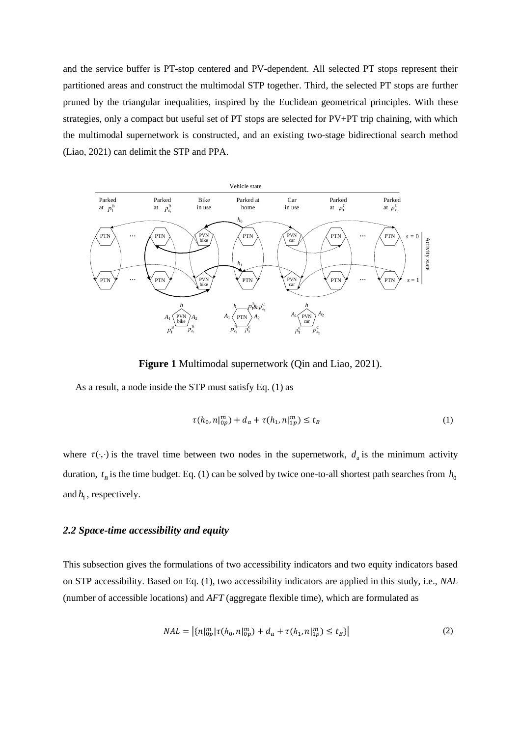and the service buffer is PT-stop centered and PV-dependent. All selected PT stops represent their partitioned areas and construct the multimodal STP together. Third, the selected PT stops are further pruned by the triangular inequalities, inspired by the Euclidean geometrical principles. With these strategies, only a compact but useful set of PT stops are selected for PV+PT trip chaining, with which the multimodal supernetwork is constructed, and an existing two-stage bidirectional search method (Liao, 2021) can delimit the STP and PPA.



**Figure 1** Multimodal supernetwork (Qin and Liao, 2021).

As a result, a node inside the STP must satisfy Eq. (1) as

$$
\tau(h_0, n|_{0p}^m) + d_a + \tau(h_1, n|_{1p}^m) \le t_B \tag{1}
$$

where  $\tau(\cdot, \cdot)$  is the travel time between two nodes in the supernetwork,  $d_a$  is the minimum activity duration,  $t<sub>B</sub>$  is the time budget. Eq. (1) can be solved by twice one-to-all shortest path searches from  $h_0$ and  $h_1$ , respectively.

#### *2.2 Space-time accessibility and equity*

This subsection gives the formulations of two accessibility indicators and two equity indicators based on STP accessibility. Based on Eq. (1), two accessibility indicators are applied in this study, i.e., *NAL* (number of accessible locations) and *AFT* (aggregate flexible time), which are formulated as

$$
NAL = \left| \{ n \}_{0p}^{m} | \tau(h_0, n|_{0p}^{m}) + d_a + \tau(h_1, n|_{1p}^{m}) \le t_B \} \right| \tag{2}
$$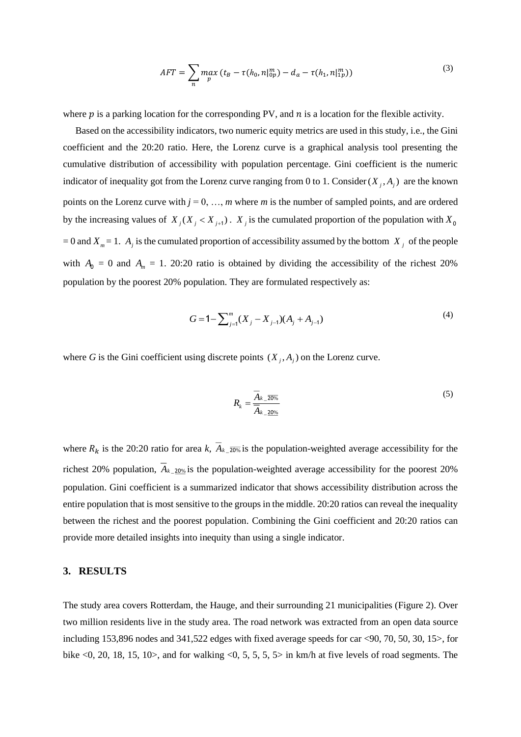$$
AFT = \sum_{n} \max_{p} (t_B - \tau(h_0, n|_{0p}^m) - d_a - \tau(h_1, n|_{1p}^m))
$$
\n(3)

where  $p$  is a parking location for the corresponding PV, and  $n$  is a location for the flexible activity.

Based on the accessibility indicators, two numeric equity metrics are used in this study, i.e., the Gini coefficient and the 20:20 ratio. Here, the Lorenz curve is a graphical analysis tool presenting the cumulative distribution of accessibility with population percentage. Gini coefficient is the numeric indicator of inequality got from the Lorenz curve ranging from 0 to 1. Consider  $(X_j, A_j)$  are the known points on the Lorenz curve with  $j = 0, \ldots, m$  where *m* is the number of sampled points, and are ordered by the increasing values of  $X_j(X_j < X_{j+1})$ .  $X_j$  is the cumulated proportion of the population with  $X_0$  $= 0$  and  $X_m = 1$ .  $A_j$  is the cumulated proportion of accessibility assumed by the bottom  $X_j$  of the people with  $A_0 = 0$  and  $A_m = 1$ . 20:20 ratio is obtained by dividing the accessibility of the richest 20% population by the poorest 20% population. They are formulated respectively as:

$$
G = 1 - \sum_{j=1}^{m} (X_j - X_{j-1})(A_j + A_{j-1})
$$
\n(4)

where G is the Gini coefficient using discrete points  $(X_j, A_j)$  on the Lorenz curve.

$$
R_k = \frac{\overline{A}_{k=20\%}}{\overline{A}_{k=20\%}}
$$
 (5)

where  $R_k$  is the 20:20 ratio for area *k*,  $A_k \overline{20\%}$  is the population-weighted average accessibility for the richest 20% population,  $A_{k-20\%}$  is the population-weighted average accessibility for the poorest 20% population. Gini coefficient is a summarized indicator that shows accessibility distribution across the entire population that is most sensitive to the groups in the middle. 20:20 ratios can reveal the inequality between the richest and the poorest population. Combining the Gini coefficient and 20:20 ratios can provide more detailed insights into inequity than using a single indicator.

## **3. RESULTS**

The study area covers Rotterdam, the Hauge, and their surrounding 21 municipalities (Figure 2). Over two million residents live in the study area. The road network was extracted from an open data source including 153,896 nodes and 341,522 edges with fixed average speeds for car <90, 70, 50, 30, 15>, for bike  $\langle 0, 20, 18, 15, 10 \rangle$ , and for walking  $\langle 0, 5, 5, 5 \rangle$  in km/h at five levels of road segments. The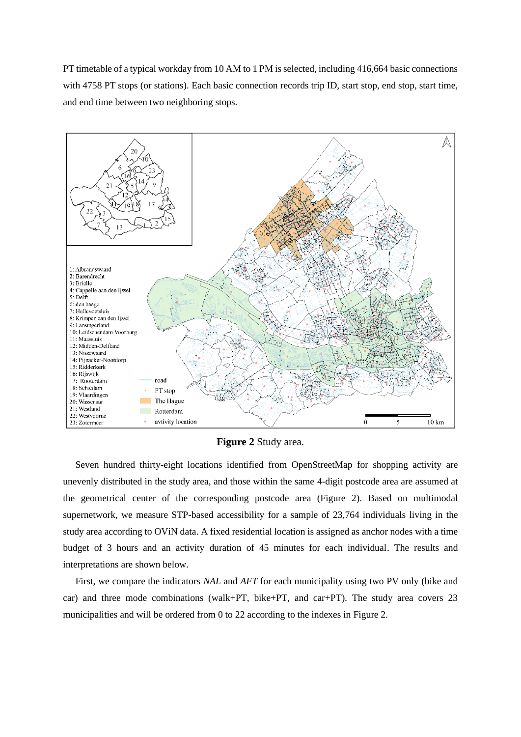PT timetable of a typical workday from 10 AM to 1 PM is selected, including 416,664 basic connections with 4758 PT stops (or stations). Each basic connection records trip ID, start stop, end stop, start time, and end time between two neighboring stops.



**Figure 2** Study area.

<span id="page-5-0"></span>Seven hundred thirty-eight locations identified from OpenStreetMap for shopping activity are unevenly distributed in the study area, and those within the same 4-digit postcode area are assumed at the geometrical center of the corresponding postcode area (Figure 2). Based on multimodal supernetwork, we measure STP-based accessibility for a sample of 23,764 individuals living in the study area according to OViN data. A fixed residential location is assigned as anchor nodes with a time budget of 3 hours and an activity duration of 45 minutes for each individual. The results and interpretations are shown below.

First, we compare the indicators *NAL* and *AFT* for each municipality using two PV only (bike and car) and three mode combinations (walk+PT, bike+PT, and car+PT). The study area covers 23 municipalities and will be ordered from 0 to 22 according to the indexes in [Figure 2.](#page-5-0)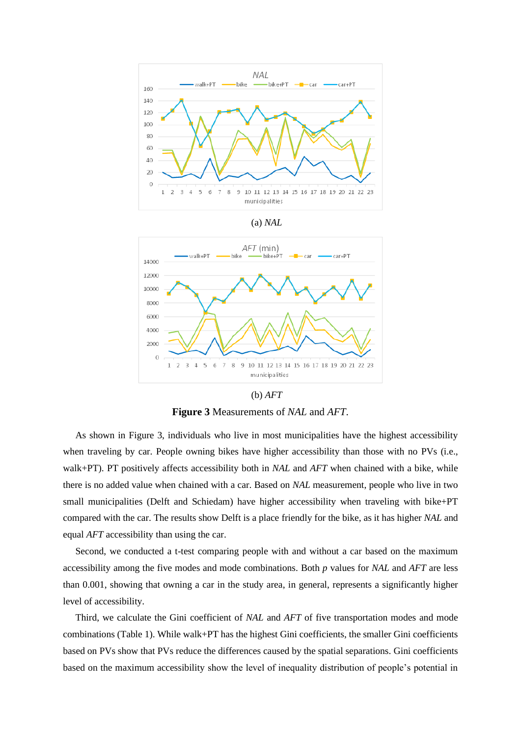

(a) *NAL*



(b) *AFT*

**Figure 3** Measurements of *NAL* and *AFT*.

<span id="page-6-0"></span>As shown in [Figure 3,](#page-6-0) individuals who live in most municipalities have the highest accessibility when traveling by car. People owning bikes have higher accessibility than those with no PVs (i.e., walk+PT). PT positively affects accessibility both in *NAL* and *AFT* when chained with a bike, while there is no added value when chained with a car. Based on *NAL* measurement, people who live in two small municipalities (Delft and Schiedam) have higher accessibility when traveling with bike+PT compared with the car. The results show Delft is a place friendly for the bike, as it has higher *NAL* and equal *AFT* accessibility than using the car.

Second, we conducted a t-test comparing people with and without a car based on the maximum accessibility among the five modes and mode combinations. Both *p* values for *NAL* and *AFT* are less than 0.001, showing that owning a car in the study area, in general, represents a significantly higher level of accessibility.

Third, we calculate the Gini coefficient of *NAL* and *AFT* of five transportation modes and mode combinations [\(Table 1\)](#page-7-0). While walk+PT has the highest Gini coefficients, the smaller Gini coefficients based on PVs show that PVs reduce the differences caused by the spatial separations. Gini coefficients based on the maximum accessibility show the level of inequality distribution of people's potential in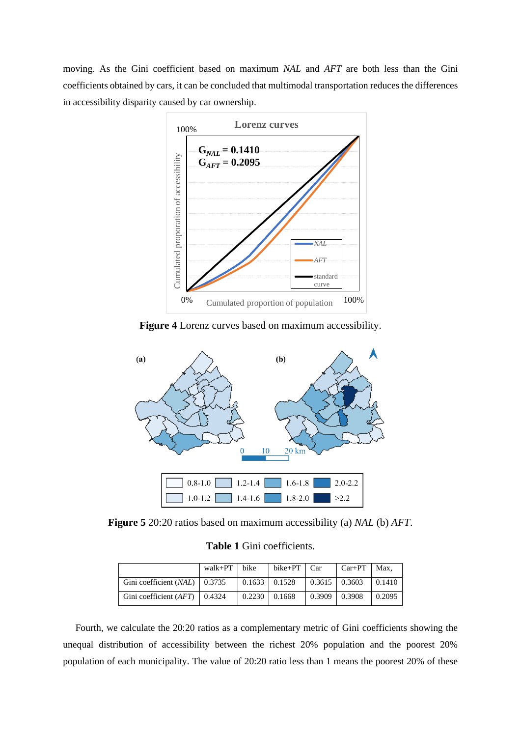moving. As the Gini coefficient based on maximum *NAL* and *AFT* are both less than the Gini coefficients obtained by cars, it can be concluded that multimodal transportation reduces the differences in accessibility disparity caused by car ownership.



**Figure 4** Lorenz curves based on maximum accessibility.



<span id="page-7-0"></span>**Figure 5** 20:20 ratios based on maximum accessibility (a) *NAL* (b) *AFT*.

**Table 1** Gini coefficients.

|                                   | walk+PT | bike                  | $bike+PT$ $Car$ |                 | $Car+PT$   Max, |        |
|-----------------------------------|---------|-----------------------|-----------------|-----------------|-----------------|--------|
| Gini coefficient $(NAL)$   0.3735 |         | $0.1633 \cdot 0.1528$ |                 | $0.3615$ 0.3603 |                 | 0.1410 |
| Gini coefficient $(AFT)$   0.4324 |         | 0.2230                | 0.1668          | $0.3909$ 0.3908 |                 | 0.2095 |

Fourth, we calculate the 20:20 ratios as a complementary metric of Gini coefficients showing the unequal distribution of accessibility between the richest 20% population and the poorest 20%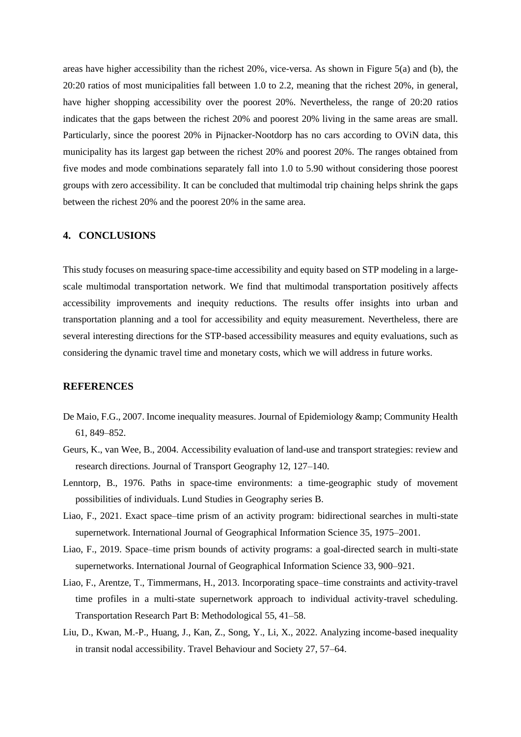areas have higher accessibility than the richest 20%, vice-versa. As shown in Figure 5(a) and (b), the 20:20 ratios of most municipalities fall between 1.0 to 2.2, meaning that the richest 20%, in general, have higher shopping accessibility over the poorest 20%. Nevertheless, the range of 20:20 ratios indicates that the gaps between the richest 20% and poorest 20% living in the same areas are small. Particularly, since the poorest 20% in Pijnacker-Nootdorp has no cars according to OViN data, this municipality has its largest gap between the richest 20% and poorest 20%. The ranges obtained from five modes and mode combinations separately fall into 1.0 to 5.90 without considering those poorest groups with zero accessibility. It can be concluded that multimodal trip chaining helps shrink the gaps between the richest 20% and the poorest 20% in the same area.

## **4. CONCLUSIONS**

This study focuses on measuring space-time accessibility and equity based on STP modeling in a largescale multimodal transportation network. We find that multimodal transportation positively affects accessibility improvements and inequity reductions. The results offer insights into urban and transportation planning and a tool for accessibility and equity measurement. Nevertheless, there are several interesting directions for the STP-based accessibility measures and equity evaluations, such as considering the dynamic travel time and monetary costs, which we will address in future works.

### **REFERENCES**

- De Maio, F.G., 2007. Income inequality measures. Journal of Epidemiology & amp; Community Health 61, 849–852.
- Geurs, K., van Wee, B., 2004. Accessibility evaluation of land-use and transport strategies: review and research directions. Journal of Transport Geography 12, 127–140.
- Lenntorp, B., 1976. Paths in space-time environments: a time-geographic study of movement possibilities of individuals. Lund Studies in Geography series B.
- Liao, F., 2021. Exact space–time prism of an activity program: bidirectional searches in multi-state supernetwork. International Journal of Geographical Information Science 35, 1975–2001.
- Liao, F., 2019. Space–time prism bounds of activity programs: a goal-directed search in multi-state supernetworks. International Journal of Geographical Information Science 33, 900–921.
- Liao, F., Arentze, T., Timmermans, H., 2013. Incorporating space–time constraints and activity-travel time profiles in a multi-state supernetwork approach to individual activity-travel scheduling. Transportation Research Part B: Methodological 55, 41–58.
- Liu, D., Kwan, M.-P., Huang, J., Kan, Z., Song, Y., Li, X., 2022. Analyzing income-based inequality in transit nodal accessibility. Travel Behaviour and Society 27, 57–64.